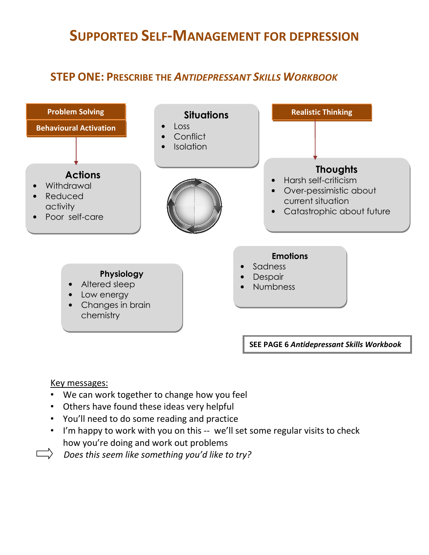## SUPPORTED SELF-MANAGEMENT FOR DEPRESSION

## STEP ONE: PRESCRIBE THE ANTIDEPRESSANT SKILLS WORKBOOK



#### Key messages:

- We can work together to change how you feel
- Others have found these ideas very helpful
- You'll need to do some reading and practice
- I'm happy to work with you on this -- we'll set some regular visits to check how you're doing and work out problems
- Does this seem like something you'd like to try?